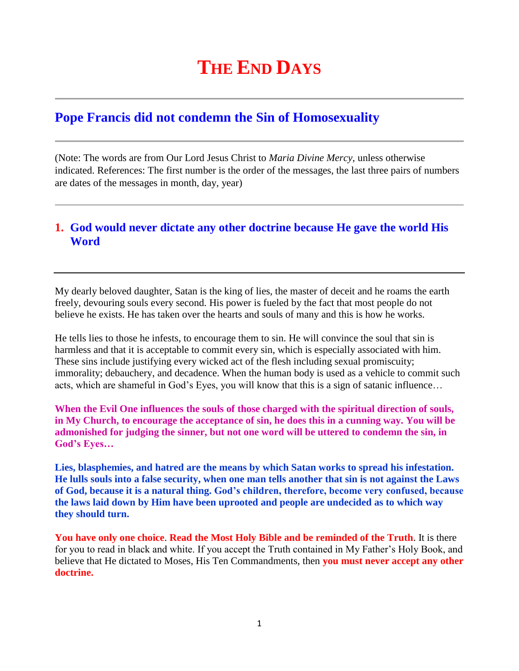## **THE END DAYS**

## **Pope Francis did not condemn the Sin of Homosexuality**

(Note: The words are from Our Lord Jesus Christ to *Maria Divine Mercy*, unless otherwise indicated. References: The first number is the order of the messages, the last three pairs of numbers are dates of the messages in month, day, year)

## **1. [God would never dictate any other doctrine because He gave the world His](http://www.thewarningsecondcoming.com/god-would-never-dictate-any-other-doctrine-because-he-gave-the-world-his-word/)  [Word](http://www.thewarningsecondcoming.com/god-would-never-dictate-any-other-doctrine-because-he-gave-the-world-his-word/)**

My dearly beloved daughter, Satan is the king of lies, the master of deceit and he roams the earth freely, devouring souls every second. His power is fueled by the fact that most people do not believe he exists. He has taken over the hearts and souls of many and this is how he works.

He tells lies to those he infests, to encourage them to sin. He will convince the soul that sin is harmless and that it is acceptable to commit every sin, which is especially associated with him. These sins include justifying every wicked act of the flesh including sexual promiscuity; immorality; debauchery, and decadence. When the human body is used as a vehicle to commit such acts, which are shameful in God's Eyes, you will know that this is a sign of satanic influence…

**When the Evil One influences the souls of those charged with the spiritual direction of souls, in My Church, to encourage the acceptance of sin, he does this in a cunning way. You will be admonished for judging the sinner, but not one word will be uttered to condemn the sin, in God's Eyes…**

**Lies, blasphemies, and hatred are the means by which Satan works to spread his infestation. He lulls souls into a false security, when one man tells another that sin is not against the Laws of God, because it is a natural thing. God's children, therefore, become very confused, because the laws laid down by Him have been uprooted and people are undecided as to which way they should turn.**

**You have only one choice**. **Read the Most Holy Bible and be reminded of the Truth**. It is there for you to read in black and white. If you accept the Truth contained in My Father's Holy Book, and believe that He dictated to Moses, His Ten Commandments, then **you must never accept any other doctrine.**